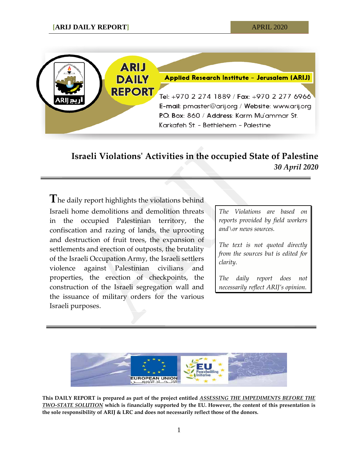

## **Israeli Violations' Activities in the occupied State of Palestine** *30 April 2020*

**T**he daily report highlights the violations behind Israeli home demolitions and demolition threats in the occupied Palestinian territory, the confiscation and razing of lands, the uprooting and destruction of fruit trees, the expansion of settlements and erection of outposts, the brutality of the Israeli Occupation Army, the Israeli settlers violence against Palestinian civilians and properties, the erection of checkpoints, the construction of the Israeli segregation wall and the issuance of military orders for the various Israeli purposes.

*The Violations are based on reports provided by field workers and\or news sources.*

*The text is not quoted directly from the sources but is edited for clarity.*

*The daily report does not necessarily reflect ARIJ's opinion.*



**This DAILY REPORT is prepared as part of the project entitled** *ASSESSING THE IMPEDIMENTS BEFORE THE TWO-STATE SOLUTION* **which is financially supported by the EU. However, the content of this presentation is the sole responsibility of ARIJ & LRC and does not necessarily reflect those of the donors.**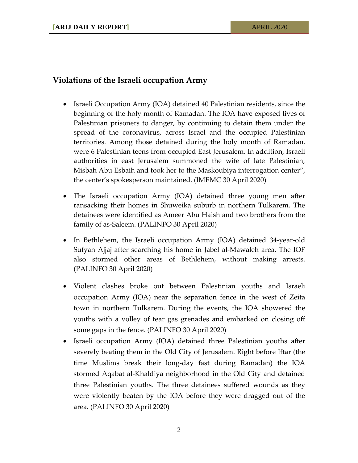## **Violations of the Israeli occupation Army**

- Israeli Occupation Army (IOA) detained 40 Palestinian residents, since the beginning of the holy month of Ramadan. The IOA have exposed lives of Palestinian prisoners to danger, by continuing to detain them under the spread of the coronavirus, across Israel and the occupied Palestinian territories. Among those detained during the holy month of Ramadan, were 6 Palestinian teens from occupied East Jerusalem. In addition, Israeli authorities in east Jerusalem summoned the wife of late Palestinian, Misbah Abu Esbaih and took her to the Maskoubiya interrogation center", the center's spokesperson maintained. (IMEMC 30 April 2020)
- The Israeli occupation Army (IOA) detained three young men after ransacking their homes in Shuweika suburb in northern Tulkarem. The detainees were identified as Ameer Abu Haish and two brothers from the family of as-Saleem. (PALINFO 30 April 2020)
- In Bethlehem, the Israeli occupation Army (IOA) detained 34-year-old Sufyan Ajjaj after searching his home in Jabel al-Mawaleh area. The IOF also stormed other areas of Bethlehem, without making arrests. (PALINFO 30 April 2020)
- Violent clashes broke out between Palestinian youths and Israeli occupation Army (IOA) near the separation fence in the west of Zeita town in northern Tulkarem. During the events, the IOA showered the youths with a volley of tear gas grenades and embarked on closing off some gaps in the fence. (PALINFO 30 April 2020)
- Israeli occupation Army (IOA) detained three Palestinian youths after severely beating them in the Old City of Jerusalem. Right before Iftar (the time Muslims break their long-day fast during Ramadan) the IOA stormed Aqabat al-Khaldiya neighborhood in the Old City and detained three Palestinian youths. The three detainees suffered wounds as they were violently beaten by the IOA before they were dragged out of the area. (PALINFO 30 April 2020)